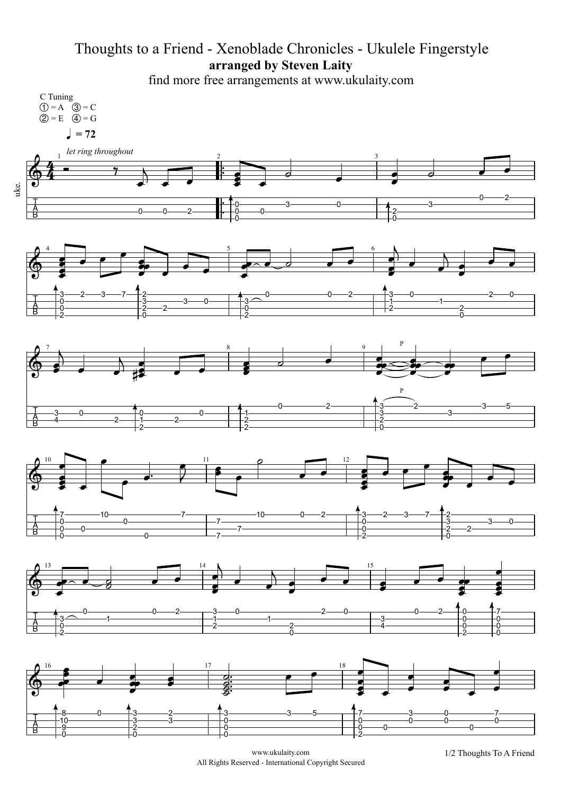## Thoughts to a Friend - Xenoblade Chronicles - Ukulele Fingerstyle **arranged by Steven Laity**

find more free arrangements at www.ukulaity.com



www.ukulaity.com 1/2 Thoughts To A Friend All Rights Reserved - International Copyright Secured